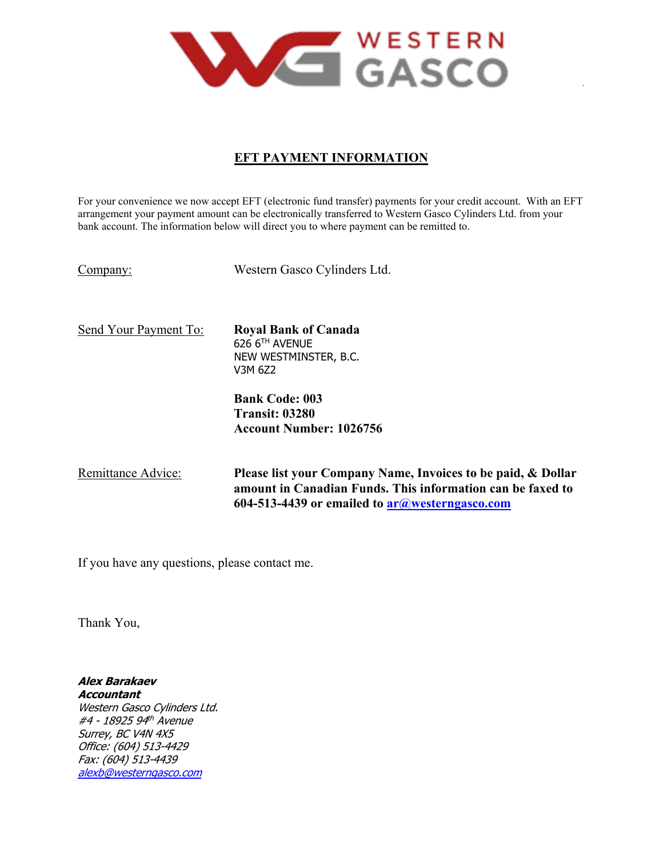

.

## **EFT PAYMENT INFORMATION**

For your convenience we now accept EFT (electronic fund transfer) payments for your credit account. With an EFT arrangement your payment amount can be electronically transferred to Western Gasco Cylinders Ltd. from your bank account. The information below will direct you to where payment can be remitted to.

Company: Western Gasco Cylinders Ltd.

Send Your Payment To: **Royal Bank of Canada** 626 6TH AVENUE NEW WESTMINSTER, B.C. V3M 6Z2

> **Bank Code: 003 Transit: 03280 Account Number: 1026756**

Remittance Advice: **Please list your Company Name, Invoices to be paid, & Dollar amount in Canadian Funds. This information can be faxed to 604-513-4439 or emailed to ar@westerngasco.com**

If you have any questions, please contact me.

Thank You,

**Alex Barakaev Accountant** 

Western Gasco Cylinders Ltd. #4 - 18925 94<sup>th</sup> Avenue Surrey, BC V4N 4X5 Office: (604) 513-4429 Fax: (604) 513-4439 alexb@westerngasco.com